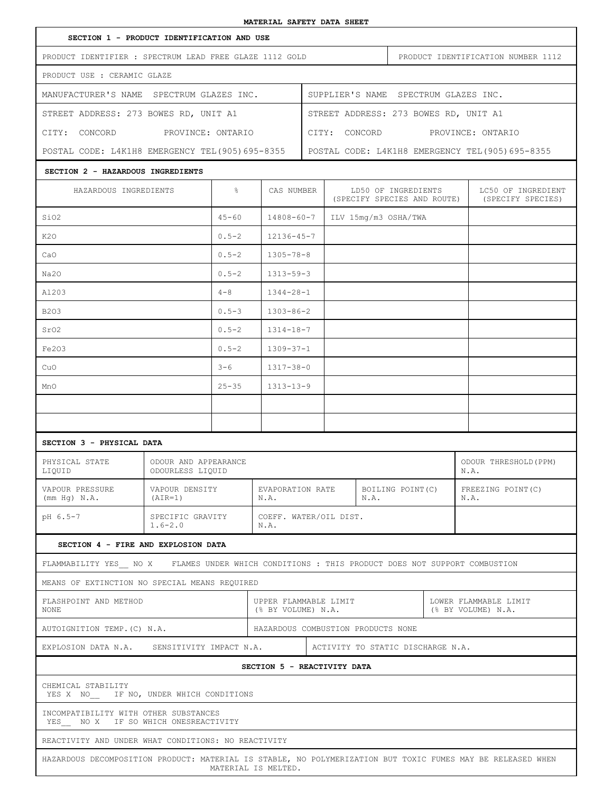| MAISKIAD SAFSII DAIA SHSSI                                                                     |                                                                           |                                                                                 |                                                  |                                             |                                                    |                      |                                    |                            |                                             |  |  |  |
|------------------------------------------------------------------------------------------------|---------------------------------------------------------------------------|---------------------------------------------------------------------------------|--------------------------------------------------|---------------------------------------------|----------------------------------------------------|----------------------|------------------------------------|----------------------------|---------------------------------------------|--|--|--|
| SECTION 1 - PRODUCT IDENTIFICATION AND USE                                                     |                                                                           |                                                                                 |                                                  |                                             |                                                    |                      |                                    |                            |                                             |  |  |  |
| PRODUCT IDENTIFIER : SPECTRUM LEAD FREE GLAZE 1112 GOLD                                        |                                                                           |                                                                                 |                                                  |                                             |                                                    |                      | PRODUCT IDENTIFICATION NUMBER 1112 |                            |                                             |  |  |  |
| PRODUCT USE : CERAMIC GLAZE                                                                    |                                                                           |                                                                                 |                                                  |                                             |                                                    |                      |                                    |                            |                                             |  |  |  |
| MANUFACTURER'S NAME SPECTRUM GLAZES INC.                                                       |                                                                           |                                                                                 |                                                  |                                             | SUPPLIER'S NAME SPECTRUM GLAZES INC.               |                      |                                    |                            |                                             |  |  |  |
| STREET ADDRESS: 273 BOWES RD, UNIT A1                                                          |                                                                           | STREET ADDRESS: 273 BOWES RD, UNIT A1                                           |                                                  |                                             |                                                    |                      |                                    |                            |                                             |  |  |  |
| CITY: CONCORD<br>PROVINCE: ONTARIO                                                             |                                                                           |                                                                                 |                                                  |                                             |                                                    |                      | CITY: CONCORD PROVINCE: ONTARIO    |                            |                                             |  |  |  |
| POSTAL CODE: L4K1H8 EMERGENCY TEL (905) 695-8355                                               |                                                                           |                                                                                 | POSTAL CODE: L4K1H8 EMERGENCY TEL (905) 695-8355 |                                             |                                                    |                      |                                    |                            |                                             |  |  |  |
| SECTION 2 - HAZARDOUS INGREDIENTS                                                              |                                                                           |                                                                                 |                                                  |                                             |                                                    |                      |                                    |                            |                                             |  |  |  |
| HAZARDOUS INGREDIENTS                                                                          |                                                                           | $\frac{6}{6}$                                                                   | CAS NUMBER                                       |                                             | LD50 OF INGREDIENTS<br>(SPECIFY SPECIES AND ROUTE) |                      |                                    |                            | LC50 OF INGREDIENT<br>(SPECIFY SPECIES)     |  |  |  |
| SiO2                                                                                           |                                                                           | $45 - 60$                                                                       | $14808 - 60 - 7$                                 |                                             |                                                    | ILV 15mg/m3 OSHA/TWA |                                    |                            |                                             |  |  |  |
| K20                                                                                            |                                                                           | $0.5 - 2$                                                                       | $12136 - 45 - 7$                                 |                                             |                                                    |                      |                                    |                            |                                             |  |  |  |
| CaO                                                                                            |                                                                           | $0.5 - 2$                                                                       | $1305 - 78 - 8$                                  |                                             |                                                    |                      |                                    |                            |                                             |  |  |  |
| Na20                                                                                           |                                                                           | $0.5 - 2$                                                                       | $1313 - 59 - 3$                                  |                                             |                                                    |                      |                                    |                            |                                             |  |  |  |
| A1203                                                                                          |                                                                           | $4 - 8$                                                                         | $1344 - 28 - 1$                                  |                                             |                                                    |                      |                                    |                            |                                             |  |  |  |
| <b>B203</b>                                                                                    |                                                                           | $0.5 - 3$                                                                       | $1303 - 86 - 2$                                  |                                             |                                                    |                      |                                    |                            |                                             |  |  |  |
| SrO2                                                                                           |                                                                           | $0.5 - 2$                                                                       | $1314 - 18 - 7$                                  |                                             |                                                    |                      |                                    |                            |                                             |  |  |  |
| Fe203                                                                                          |                                                                           | $0.5 - 2$                                                                       | $1309 - 37 - 1$                                  |                                             |                                                    |                      |                                    |                            |                                             |  |  |  |
| CuO                                                                                            |                                                                           | $3 - 6$                                                                         | $1317 - 38 - 0$                                  |                                             |                                                    |                      |                                    |                            |                                             |  |  |  |
| MnO                                                                                            |                                                                           | $25 - 35$                                                                       | $1313 - 13 - 9$                                  |                                             |                                                    |                      |                                    |                            |                                             |  |  |  |
|                                                                                                |                                                                           |                                                                                 |                                                  |                                             |                                                    |                      |                                    |                            |                                             |  |  |  |
|                                                                                                |                                                                           |                                                                                 |                                                  |                                             |                                                    |                      |                                    |                            |                                             |  |  |  |
| SECTION 3 - PHYSICAL DATA                                                                      |                                                                           |                                                                                 |                                                  |                                             |                                                    |                      |                                    |                            |                                             |  |  |  |
| PHYSICAL STATE<br>LIQUID                                                                       | ODOUR AND APPEARANCE<br>ODOUR THRESHOLD (PPM)<br>ODOURLESS LIQUID<br>N.A. |                                                                                 |                                                  |                                             |                                                    |                      |                                    |                            |                                             |  |  |  |
| VAPOUR PRESSURE<br>(mm Hq) N.A.                                                                | VAPOUR DENSITY<br>(AIR=1)                                                 | N.A.                                                                            | EVAPORATION RATE<br>N.A.                         |                                             |                                                    | BOILING POINT (C)    |                                    | FREEZING POINT (C)<br>N.A. |                                             |  |  |  |
| pH 6.5-7                                                                                       | SPECIFIC GRAVITY<br>$1.6 - 2.0$<br>N.A.                                   |                                                                                 |                                                  |                                             | COEFF. WATER/OIL DIST.                             |                      |                                    |                            |                                             |  |  |  |
| SECTION 4 - FIRE AND EXPLOSION DATA                                                            |                                                                           |                                                                                 |                                                  |                                             |                                                    |                      |                                    |                            |                                             |  |  |  |
| FLAMMABILITY YES NO X FLAMES UNDER WHICH CONDITIONS : THIS PRODUCT DOES NOT SUPPORT COMBUSTION |                                                                           |                                                                                 |                                                  |                                             |                                                    |                      |                                    |                            |                                             |  |  |  |
| MEANS OF EXTINCTION NO SPECIAL MEANS REQUIRED                                                  |                                                                           |                                                                                 |                                                  |                                             |                                                    |                      |                                    |                            |                                             |  |  |  |
| FLASHPOINT AND METHOD<br>NONE                                                                  |                                                                           |                                                                                 |                                                  | UPPER FLAMMABLE LIMIT<br>(% BY VOLUME) N.A. |                                                    |                      |                                    |                            | LOWER FLAMMABLE LIMIT<br>(% BY VOLUME) N.A. |  |  |  |
| AUTOIGNITION TEMP. (C) N.A.                                                                    | HAZARDOUS COMBUSTION PRODUCTS NONE                                        |                                                                                 |                                                  |                                             |                                                    |                      |                                    |                            |                                             |  |  |  |
|                                                                                                |                                                                           | EXPLOSION DATA N.A. SENSITIVITY IMPACT N.A.   ACTIVITY TO STATIC DISCHARGE N.A. |                                                  |                                             |                                                    |                      |                                    |                            |                                             |  |  |  |
| SECTION 5 - REACTIVITY DATA                                                                    |                                                                           |                                                                                 |                                                  |                                             |                                                    |                      |                                    |                            |                                             |  |  |  |
| CHEMICAL STABILITY<br>YES X NO IF NO, UNDER WHICH CONDITIONS                                   |                                                                           |                                                                                 |                                                  |                                             |                                                    |                      |                                    |                            |                                             |  |  |  |
| INCOMPATIBILITY WITH OTHER SUBSTANCES<br>YES___ NO X IF SO WHICH ONESREACTIVITY                |                                                                           |                                                                                 |                                                  |                                             |                                                    |                      |                                    |                            |                                             |  |  |  |
| REACTIVITY AND UNDER WHAT CONDITIONS: NO REACTIVITY                                            |                                                                           |                                                                                 |                                                  |                                             |                                                    |                      |                                    |                            |                                             |  |  |  |
|                                                                                                |                                                                           |                                                                                 |                                                  |                                             |                                                    |                      |                                    |                            |                                             |  |  |  |

HAZARDOUS DECOMPOSITION PRODUCT: MATERIAL IS STABLE, NO POLYMERIZATION BUT TOXIC FUMES MAY BE RELEASED WHEN MATERIAL IS MELTED.